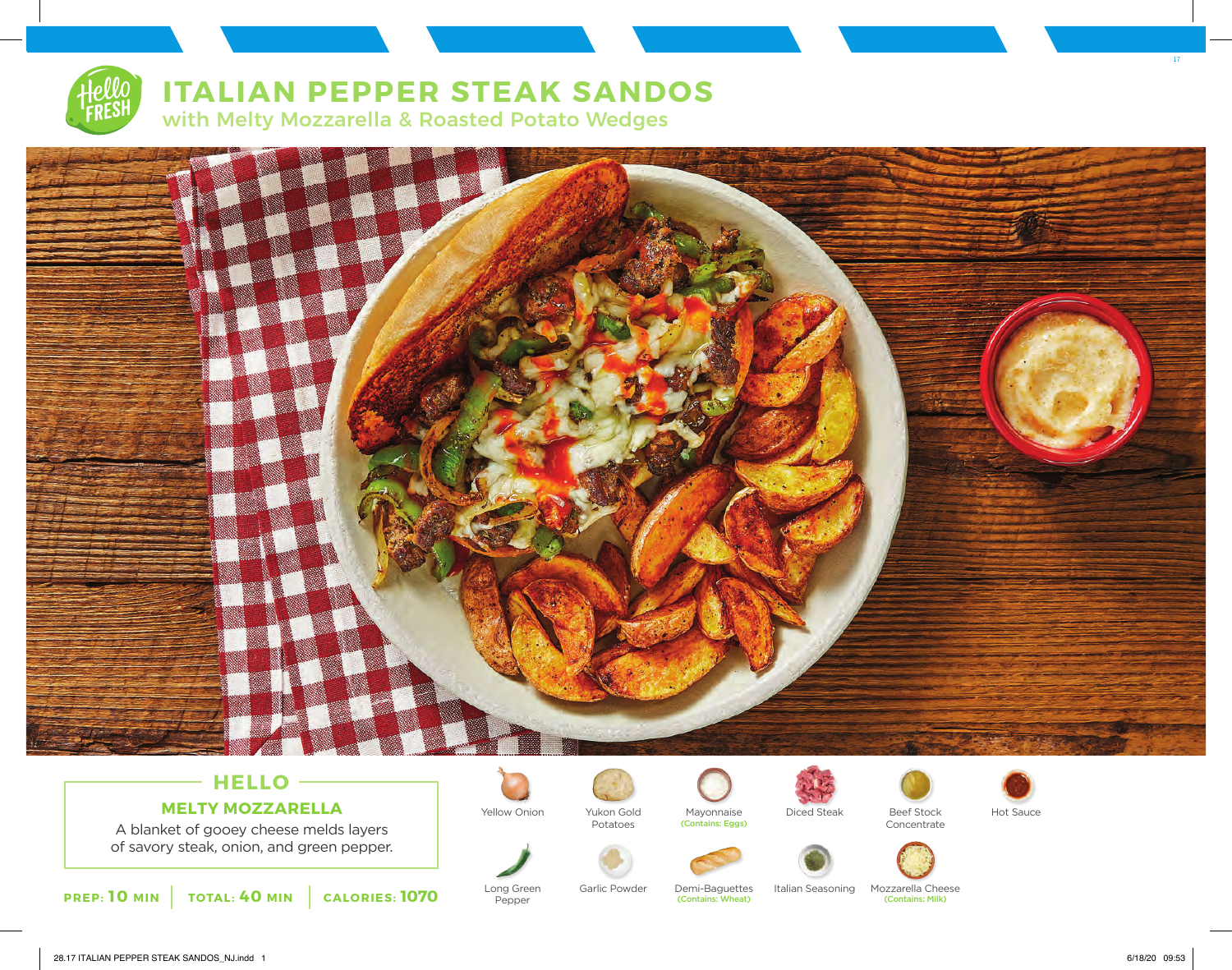# **ITALIAN PEPPER STEAK SANDOS** with Melty Mozzarella & Roasted Potato Wedges



## **HELLO MELTY MOZZARELLA**

A blanket of gooey cheese melds layers of savory steak, onion, and green pepper.



Long Green Pepper

Yukon Gold



(Contains: Wheat)



Yellow Onion Mayonnaise Diced Steak Beef Stock Hot Sauce (Contains: Eggs)





Garlic Powder Demi-Baguettes Italian Seasoning Mozzarella Cheese

(Contains: Milk)

17